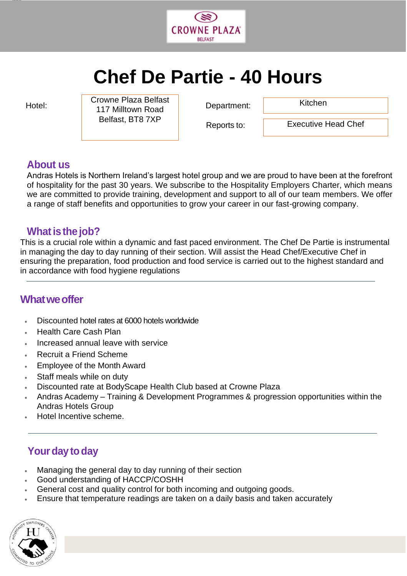

# **Chef De Partie - 40 Hours**

jjjjjj

Hotel: **Department:**  $\frac{1}{447}$  Milltown Bood Crowne Plaza Belfast Department: Kitchen 117 Milltown Road Belfast, BT8 7XP

Reports to:

Executive Head Chef

# **About us**

Andras Hotels is Northern Ireland's largest hotel group and we are proud to have been at the forefront of hospitality for the past 30 years. We subscribe to the Hospitality Employers Charter, which means we are committed to provide training, development and support to all of our team members. We offer a range of staff benefits and opportunities to grow your career in our fast-growing company.

## **What is the job?**

This is a crucial role within a dynamic and fast paced environment. The Chef De Partie is instrumental in managing the day to day running of their section. Will assist the Head Chef/Executive Chef in ensuring the preparation, food production and food service is carried out to the highest standard and in accordance with food hygiene regulations

# **Whatweoffer**

- Discounted hotel rates at 6000 hotels worldwide
- Health Care Cash Plan
- Increased annual leave with service
- Recruit a Friend Scheme
- Employee of the Month Award
- Staff meals while on duty
- Discounted rate at BodyScape Health Club based at Crowne Plaza
- Andras Academy Training & Development Programmes & progression opportunities within the Andras Hotels Group
- Hotel Incentive scheme.

# **Your day to day**

- Managing the general day to day running of their section
- Good understanding of HACCP/COSHH
- General cost and quality control for both incoming and outgoing goods.
- Ensure that temperature readings are taken on a daily basis and taken accurately

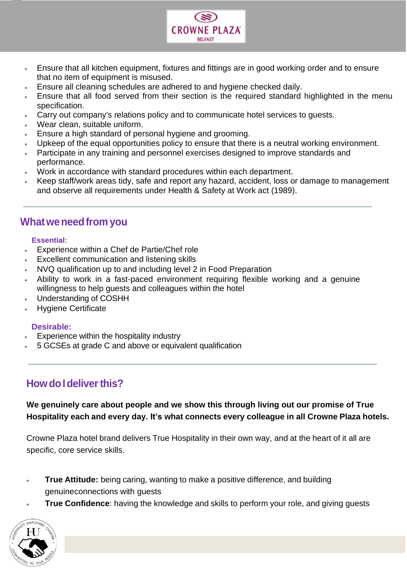

- Ensure that all kitchen equipment, fixtures and fittings are in good working order and to ensure that no item of equipment is misused.
- Ensure all cleaning schedules are adhered to and hygiene checked daily.
- Ensure that all food served from their section is the required standard highlighted in the menu specification.
- Carry out company's relations policy and to communicate hotel services to guests.
- Wear clean, suitable uniform.
- Ensure a high standard of personal hygiene and grooming.
- Upkeep of the equal opportunities policy to ensure that there is a neutral working environment.
- Participate in any training and personnel exercises designed to improve standards and performance.
- Work in accordance with standard procedures within each department.
- Keep staff/work areas tidy, safe and report any hazard, accident, loss or damage to management and observe all requirements under Health & Safety at Work act (1989).

# **Whatweneedfrom you**

### **Essential:**

jjjjjj

- Experience within a Chef de Partie/Chef role
- Excellent communication and listening skills
- NVQ qualification up to and including level 2 in Food Preparation
- Ability to work in a fast-paced environment requiring flexible working and a genuine willingness to help guests and colleagues within the hotel
- Understanding of COSHH
- Hygiene Certificate

### **Desirable:**

- Experience within the hospitality industry
- 5 GCSEs at grade C and above or equivalent qualification

# **HowdoIdeliverthis?**

**We genuinely care about people and we show this through living out our promise of True Hospitality each and every day. It's what connects every colleague in all Crowne Plaza hotels.**

Crowne Plaza hotel brand delivers True Hospitality in their own way, and at the heart of it all are specific, core service skills.

- **True Attitude:** being caring, wanting to make a positive difference, and building genuineconnections with guests
- **True Confidence**: having the knowledge and skills to perform your role, and giving guests